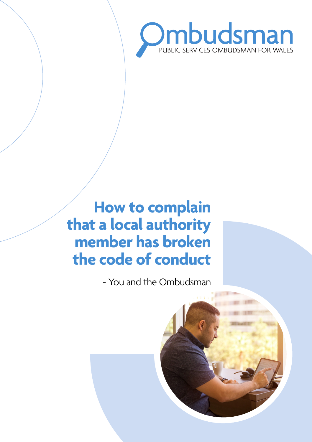

# **How to complain that a local authority member has broken the code of conduct**

- You and the Ombudsman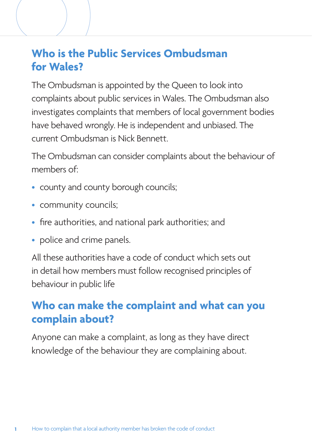## **Who is the Public Services Ombudsman for Wales?**

The Ombudsman is appointed by the Queen to look into complaints about public services in Wales. The Ombudsman also investigates complaints that members of local government bodies have behaved wrongly. He is independent and unbiased. The current Ombudsman is Nick Bennett.

The Ombudsman can consider complaints about the behaviour of members of:

- county and county borough councils;
- community councils;
- fire authorities, and national park authorities; and
- police and crime panels.

All these authorities have a code of conduct which sets out in detail how members must follow recognised principles of behaviour in public life

## **Who can make the complaint and what can you complain about?**

Anyone can make a complaint, as long as they have direct knowledge of the behaviour they are complaining about.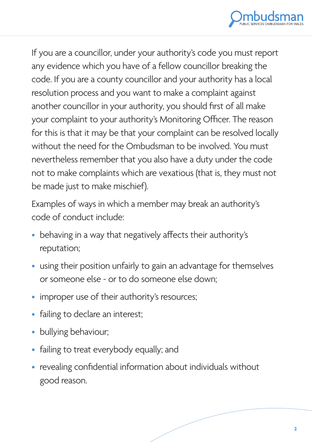

If you are a councillor, under your authority's code you must report any evidence which you have of a fellow councillor breaking the code. If you are a county councillor and your authority has a local resolution process and you want to make a complaint against another councillor in your authority, you should first of all make your complaint to your authority's Monitoring Officer. The reason for this is that it may be that your complaint can be resolved locally without the need for the Ombudsman to be involved. You must nevertheless remember that you also have a duty under the code not to make complaints which are vexatious (that is, they must not be made just to make mischief).

Examples of ways in which a member may break an authority's code of conduct include:

- behaving in a way that negatively affects their authority's reputation;
- using their position unfairly to gain an advantage for themselves or someone else - or to do someone else down;
- improper use of their authority's resources;
- failing to declare an interest;
- bullying behaviour;
- failing to treat everybody equally; and
- revealing confidential information about individuals without good reason.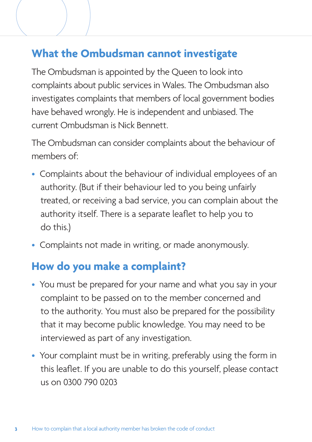## **What the Ombudsman cannot investigate**

The Ombudsman is appointed by the Queen to look into complaints about public services in Wales. The Ombudsman also investigates complaints that members of local government bodies have behaved wrongly. He is independent and unbiased. The current Ombudsman is Nick Bennett.

The Ombudsman can consider complaints about the behaviour of members of:

- Complaints about the behaviour of individual employees of an authority. (But if their behaviour led to you being unfairly treated, or receiving a bad service, you can complain about the authority itself. There is a separate leaflet to help you to do this.)
- Complaints not made in writing, or made anonymously.

#### **How do you make a complaint?**

- You must be prepared for your name and what you say in your complaint to be passed on to the member concerned and to the authority. You must also be prepared for the possibility that it may become public knowledge. You may need to be interviewed as part of any investigation.
- Your complaint must be in writing, preferably using the form in this leaflet. If you are unable to do this yourself, please contact us on 0300 790 0203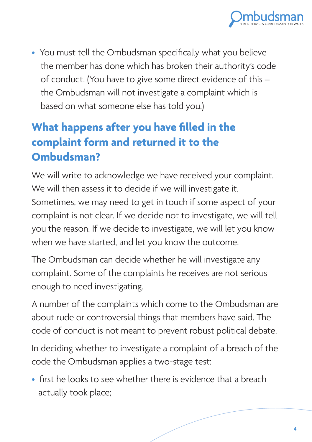

• You must tell the Ombudsman specifically what you believe the member has done which has broken their authority's code of conduct. (You have to give some direct evidence of this – the Ombudsman will not investigate a complaint which is based on what someone else has told you.)

# **What happens after you have filled in the complaint form and returned it to the Ombudsman?**

We will write to acknowledge we have received your complaint. We will then assess it to decide if we will investigate it. Sometimes, we may need to get in touch if some aspect of your complaint is not clear. If we decide not to investigate, we will tell you the reason. If we decide to investigate, we will let you know when we have started, and let you know the outcome.

The Ombudsman can decide whether he will investigate any complaint. Some of the complaints he receives are not serious enough to need investigating.

A number of the complaints which come to the Ombudsman are about rude or controversial things that members have said. The code of conduct is not meant to prevent robust political debate.

In deciding whether to investigate a complaint of a breach of the code the Ombudsman applies a two-stage test:

• first he looks to see whether there is evidence that a breach actually took place;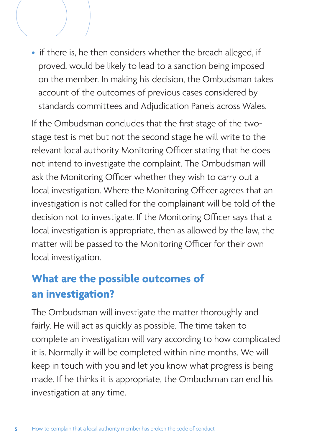• if there is, he then considers whether the breach alleged, if proved, would be likely to lead to a sanction being imposed on the member. In making his decision, the Ombudsman takes account of the outcomes of previous cases considered by standards committees and Adjudication Panels across Wales.

If the Ombudsman concludes that the first stage of the twostage test is met but not the second stage he will write to the relevant local authority Monitoring Officer stating that he does not intend to investigate the complaint. The Ombudsman will ask the Monitoring Officer whether they wish to carry out a local investigation. Where the Monitoring Officer agrees that an investigation is not called for the complainant will be told of the decision not to investigate. If the Monitoring Officer says that a local investigation is appropriate, then as allowed by the law, the matter will be passed to the Monitoring Officer for their own local investigation.

# **What are the possible outcomes of an investigation?**

The Ombudsman will investigate the matter thoroughly and fairly. He will act as quickly as possible. The time taken to complete an investigation will vary according to how complicated it is. Normally it will be completed within nine months. We will keep in touch with you and let you know what progress is being made. If he thinks it is appropriate, the Ombudsman can end his investigation at any time.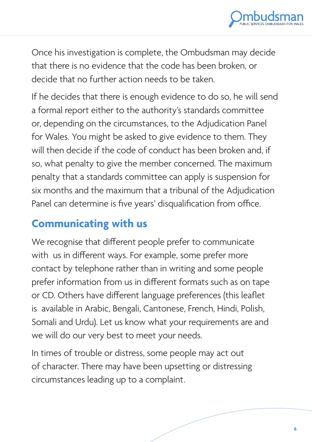

Once his investigation is complete, the Ombudsman may decide that there is no evidence that the code has been broken, or decide that no further action needs to be taken.

If he decides that there is enough evidence to do so, he will send a formal report either to the authority's standards committee or, depending on the circumstances, to the Adjudication Panel for Wales. You might be asked to give evidence to them. They will then decide if the code of conduct has been broken and, if so, what penalty to give the member concerned. The maximum penalty that a standards committee can apply is suspension for six months and the maximum that a tribunal of the Adjudication Panel can determine is five years' disqualification from office.

#### **Communicating with us**

We recognise that different people prefer to communicate with us in different ways. For example, some prefer more contact by telephone rather than in writing and some people prefer information from us in different formats such as on tape or CD. Others have different language preferences (this leaflet is available in Arabic, Bengali, Cantonese, French, Hindi, Polish, Somali and Urdu). Let us know what your requirements are and we will do our very best to meet your needs.

In times of trouble or distress, some people may act out of character. There may have been upsetting or distressing circumstances leading up to a complaint.